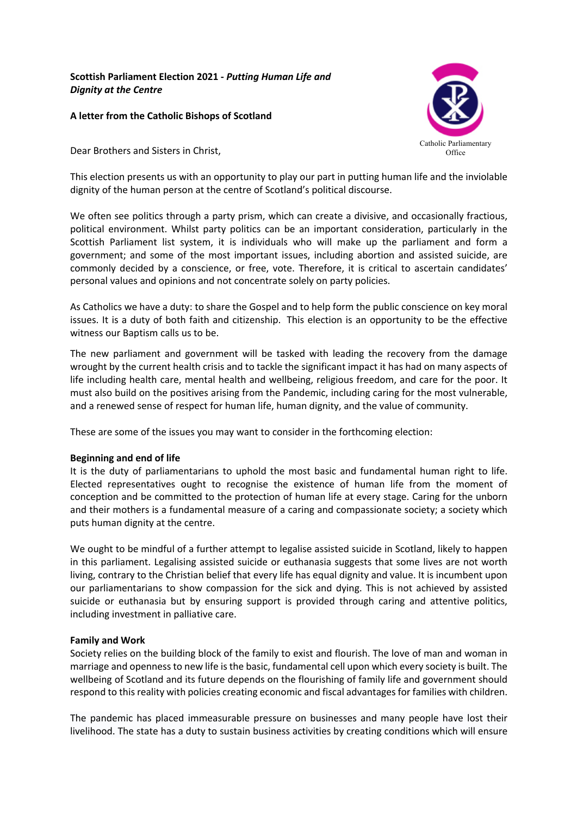# **Scottish Parliament Election 2021 -** *Putting Human Life and Dignity at the Centre*

# **A letter from the Catholic Bishops of Scotland**

Dear Brothers and Sisters in Christ,



This election presents us with an opportunity to play our part in putting human life and the inviolable dignity of the human person at the centre of Scotland's political discourse.

We often see politics through a party prism, which can create a divisive, and occasionally fractious, political environment. Whilst party politics can be an important consideration, particularly in the Scottish Parliament list system, it is individuals who will make up the parliament and form a government; and some of the most important issues, including abortion and assisted suicide, are commonly decided by a conscience, or free, vote. Therefore, it is critical to ascertain candidates' personal values and opinions and not concentrate solely on party policies.

As Catholics we have a duty: to share the Gospel and to help form the public conscience on key moral issues. It is a duty of both faith and citizenship. This election is an opportunity to be the effective witness our Baptism calls us to be.

The new parliament and government will be tasked with leading the recovery from the damage wrought by the current health crisis and to tackle the significant impact it has had on many aspects of life including health care, mental health and wellbeing, religious freedom, and care for the poor. It must also build on the positives arising from the Pandemic, including caring for the most vulnerable, and a renewed sense of respect for human life, human dignity, and the value of community.

These are some of the issues you may want to consider in the forthcoming election:

# **Beginning and end of life**

It is the duty of parliamentarians to uphold the most basic and fundamental human right to life. Elected representatives ought to recognise the existence of human life from the moment of conception and be committed to the protection of human life at every stage. Caring for the unborn and their mothers is a fundamental measure of a caring and compassionate society; a society which puts human dignity at the centre.

We ought to be mindful of a further attempt to legalise assisted suicide in Scotland, likely to happen in this parliament. Legalising assisted suicide or euthanasia suggests that some lives are not worth living, contrary to the Christian belief that every life has equal dignity and value. It is incumbent upon our parliamentarians to show compassion for the sick and dying. This is not achieved by assisted suicide or euthanasia but by ensuring support is provided through caring and attentive politics, including investment in palliative care.

# **Family and Work**

Society relies on the building block of the family to exist and flourish. The love of man and woman in marriage and openness to new life is the basic, fundamental cell upon which every society is built. The wellbeing of Scotland and its future depends on the flourishing of family life and government should respond to this reality with policies creating economic and fiscal advantages for families with children.

The pandemic has placed immeasurable pressure on businesses and many people have lost their livelihood. The state has a duty to sustain business activities by creating conditions which will ensure